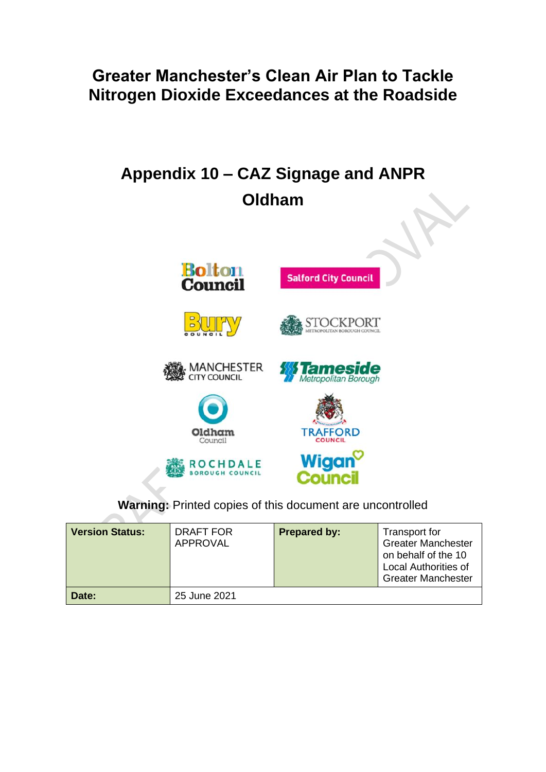# **Greater Manchester's Clean Air Plan to Tackle Nitrogen Dioxide Exceedances at the Roadside**

# **Appendix 10 – CAZ Signage and ANPR Oldham**



**Warning:** Printed copies of this document are uncontrolled

| <b>Version Status:</b> | DRAFT FOR<br><b>APPROVAL</b> | <b>Prepared by:</b> | Transport for<br><b>Greater Manchester</b><br>on behalf of the 10<br><b>Local Authorities of</b><br><b>Greater Manchester</b> |
|------------------------|------------------------------|---------------------|-------------------------------------------------------------------------------------------------------------------------------|
| Date:                  | 25 June 2021                 |                     |                                                                                                                               |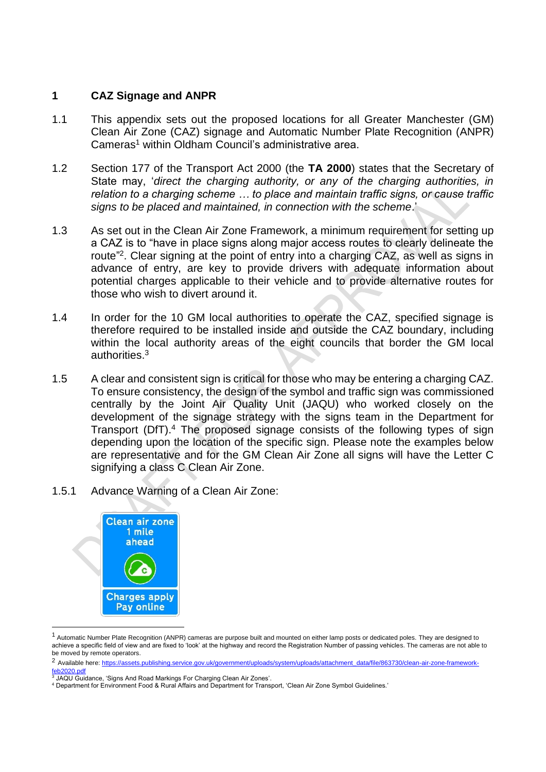#### **1 CAZ Signage and ANPR**

- 1.1 This appendix sets out the proposed locations for all Greater Manchester (GM) Clean Air Zone (CAZ) signage and Automatic Number Plate Recognition (ANPR) Cameras<sup>1</sup> within Oldham Council's administrative area.
- 1.2 Section 177 of the Transport Act 2000 (the **TA 2000**) states that the Secretary of State may, '*direct the charging authority, or any of the charging authorities, in relation to a charging scheme … to place and maintain traffic signs, or cause traffic signs to be placed and maintained, in connection with the scheme*.'
- 1.3 As set out in the Clean Air Zone Framework, a minimum requirement for setting up a CAZ is to "have in place signs along major access routes to clearly delineate the route"<sup>2</sup>. Clear signing at the point of entry into a charging CAZ, as well as signs in advance of entry, are key to provide drivers with adequate information about potential charges applicable to their vehicle and to provide alternative routes for those who wish to divert around it.
- 1.4 In order for the 10 GM local authorities to operate the CAZ, specified signage is therefore required to be installed inside and outside the CAZ boundary, including within the local authority areas of the eight councils that border the GM local authorities.<sup>3</sup>
- 1.5 A clear and consistent sign is critical for those who may be entering a charging CAZ. To ensure consistency, the design of the symbol and traffic sign was commissioned centrally by the Joint Air Quality Unit (JAQU) who worked closely on the development of the signage strategy with the signs team in the Department for Transport (DfT).<sup>4</sup> The proposed signage consists of the following types of sign depending upon the location of the specific sign. Please note the examples below are representative and for the GM Clean Air Zone all signs will have the Letter C signifying a class C Clean Air Zone.
- 1.5.1 Advance Warning of a Clean Air Zone:



<sup>&</sup>lt;sup>1</sup> Automatic Number Plate Recognition (ANPR) cameras are purpose built and mounted on either lamp posts or dedicated poles. They are designed to achieve a specific field of view and are fixed to 'look' at the highway and record the Registration Number of passing vehicles. The cameras are not able to be moved by remote operators.

<sup>&</sup>lt;sup>2</sup> Available here[: https://assets.publishing.service.gov.uk/government/uploads/system/uploads/attachment\\_data/file/863730/clean-air-zone-framework](https://assets.publishing.service.gov.uk/government/uploads/system/uploads/attachment_data/file/863730/clean-air-zone-framework-feb2020.pdf)[feb2020.pdf](https://assets.publishing.service.gov.uk/government/uploads/system/uploads/attachment_data/file/863730/clean-air-zone-framework-feb2020.pdf)

<sup>3</sup> JAQU Guidance, 'Signs And Road Markings For Charging Clean Air Zones'.

<sup>4</sup> Department for Environment Food & Rural Affairs and Department for Transport, 'Clean Air Zone Symbol Guidelines.'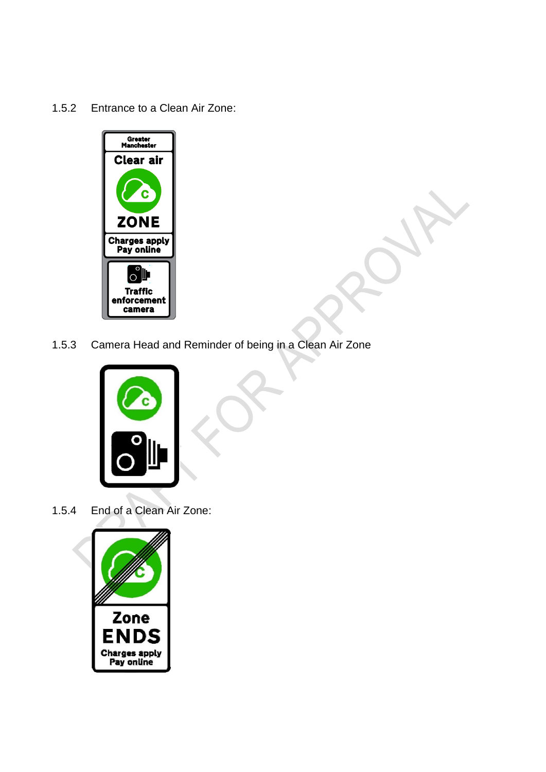1.5.2 Entrance to a Clean Air Zone:



1.5.3 Camera Head and Reminder of being in a Clean Air Zone



1.5.4 End of a Clean Air Zone:

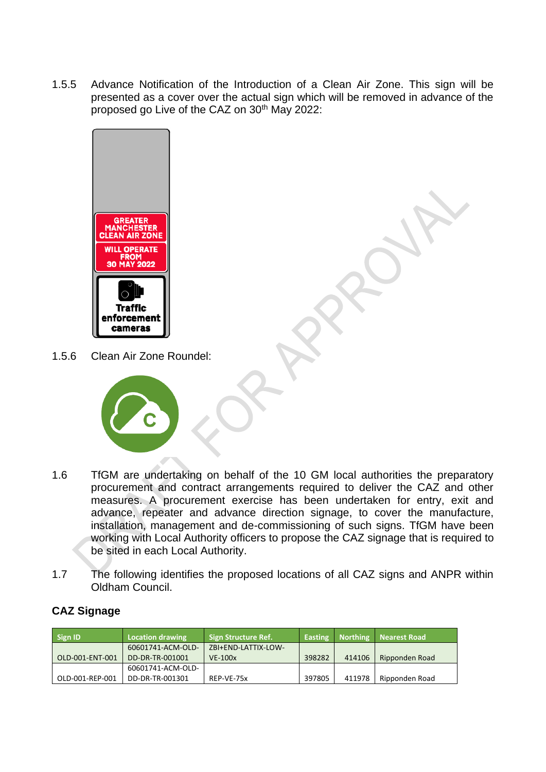1.5.5 Advance Notification of the Introduction of a Clean Air Zone. This sign will be presented as a cover over the actual sign which will be removed in advance of the proposed go Live of the CAZ on 30<sup>th</sup> May 2022:



1.5.6 Clean Air Zone Roundel:



- 1.6 TfGM are undertaking on behalf of the 10 GM local authorities the preparatory procurement and contract arrangements required to deliver the CAZ and other measures. A procurement exercise has been undertaken for entry, exit and advance, repeater and advance direction signage, to cover the manufacture, installation, management and de-commissioning of such signs. TfGM have been working with Local Authority officers to propose the CAZ signage that is required to be sited in each Local Authority.
- 1.7 The following identifies the proposed locations of all CAZ signs and ANPR within Oldham Council.

| <b>Sign ID</b>  | Location drawing  | <b>Sign Structure Ref.</b> | <b>Easting</b> | <b>Northing</b> | Nearest Road   |
|-----------------|-------------------|----------------------------|----------------|-----------------|----------------|
|                 | 60601741-ACM-OLD- | ZBI+END-LATTIX-LOW-        |                |                 |                |
| OLD-001-ENT-001 | DD-DR-TR-001001   | $VE-100x$                  | 398282         | 414106          | Ripponden Road |
|                 | 60601741-ACM-OLD- |                            |                |                 |                |
| OLD-001-REP-001 | DD-DR-TR-001301   | REP-VE-75x                 | 397805         | 411978          | Ripponden Road |

## **CAZ Signage**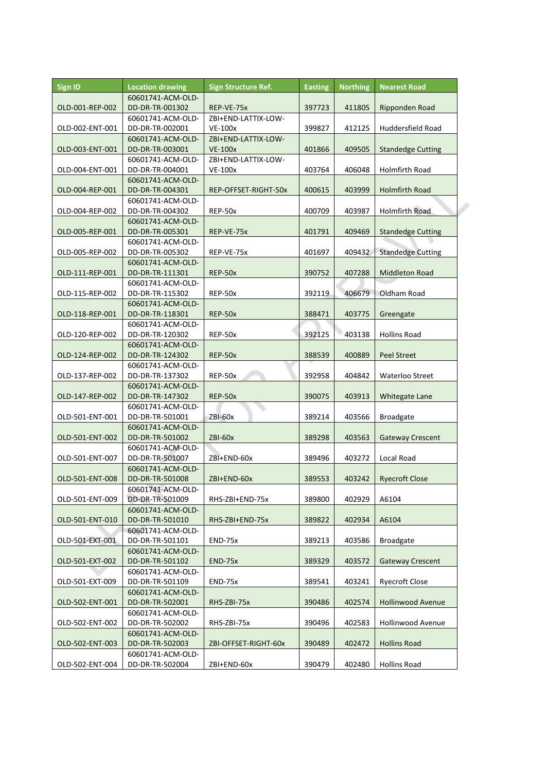| <b>Sign ID</b>  | <b>Location drawing</b>              | <b>Sign Structure Ref.</b> | <b>Easting</b> | <b>Northing</b> | <b>Nearest Road</b>      |
|-----------------|--------------------------------------|----------------------------|----------------|-----------------|--------------------------|
| OLD-001-REP-002 | 60601741-ACM-OLD-<br>DD-DR-TR-001302 | REP-VE-75x                 | 397723         | 411805          | Ripponden Road           |
|                 | 60601741-ACM-OLD-                    | ZBI+END-LATTIX-LOW-        |                |                 |                          |
| OLD-002-ENT-001 | DD-DR-TR-002001                      | <b>VE-100x</b>             | 399827         | 412125          | Huddersfield Road        |
|                 | 60601741-ACM-OLD-                    | ZBI+END-LATTIX-LOW-        |                |                 |                          |
| OLD-003-ENT-001 | DD-DR-TR-003001                      | <b>VE-100x</b>             | 401866         | 409505          | <b>Standedge Cutting</b> |
|                 | 60601741-ACM-OLD-                    | ZBI+END-LATTIX-LOW-        |                |                 |                          |
| OLD-004-ENT-001 | DD-DR-TR-004001                      | <b>VE-100x</b>             | 403764         | 406048          | Holmfirth Road           |
|                 | 60601741-ACM-OLD-                    |                            |                |                 |                          |
| OLD-004-REP-001 | DD-DR-TR-004301                      | REP-OFFSET-RIGHT-50x       | 400615         | 403999          | <b>Holmfirth Road</b>    |
|                 | 60601741-ACM-OLD-                    |                            |                |                 |                          |
| OLD-004-REP-002 | DD-DR-TR-004302                      | REP-50x                    | 400709         | 403987          | <b>Holmfirth Road</b>    |
|                 | 60601741-ACM-OLD-                    |                            |                |                 |                          |
| OLD-005-REP-001 | DD-DR-TR-005301                      | REP-VE-75x                 | 401791         | 409469          | <b>Standedge Cutting</b> |
|                 | 60601741-ACM-OLD-                    |                            |                |                 |                          |
| OLD-005-REP-002 | DD-DR-TR-005302                      | REP-VE-75x                 | 401697         | 409432          | <b>Standedge Cutting</b> |
|                 | 60601741-ACM-OLD-                    |                            |                |                 |                          |
| OLD-111-REP-001 | DD-DR-TR-111301                      | REP-50x                    | 390752         | 407288          | <b>Middleton Road</b>    |
|                 | 60601741-ACM-OLD-                    |                            |                |                 |                          |
| OLD-115-REP-002 | DD-DR-TR-115302                      | REP-50x                    | 392119         | 406679          | Oldham Road              |
|                 | 60601741-ACM-OLD-                    |                            |                |                 |                          |
| OLD-118-REP-001 | DD-DR-TR-118301                      | REP-50x                    | 388471         | 403775          | Greengate                |
|                 | 60601741-ACM-OLD-                    |                            |                |                 |                          |
| OLD-120-REP-002 | DD-DR-TR-120302                      | REP-50x                    | 392125         | 403138          | <b>Hollins Road</b>      |
|                 | 60601741-ACM-OLD-                    |                            |                |                 |                          |
| OLD-124-REP-002 | DD-DR-TR-124302                      | REP-50x                    | 388539         | 400889          | <b>Peel Street</b>       |
|                 | 60601741-ACM-OLD-                    |                            |                |                 |                          |
| OLD-137-REP-002 | DD-DR-TR-137302                      | REP-50x                    | 392958         | 404842          | Waterloo Street          |
|                 | 60601741-ACM-OLD-                    |                            |                |                 |                          |
| OLD-147-REP-002 | DD-DR-TR-147302                      | REP-50x                    | 390075         | 403913          | Whitegate Lane           |
|                 | 60601741-ACM-OLD-                    |                            |                |                 |                          |
| OLD-501-ENT-001 | DD-DR-TR-501001                      | ZBI-60x                    | 389214         | 403566          | <b>Broadgate</b>         |
|                 | 60601741-ACM-OLD-                    |                            |                |                 |                          |
| OLD-501-ENT-002 | DD-DR-TR-501002                      | ZBI-60x                    | 389298         | 403563          | <b>Gateway Crescent</b>  |
|                 | 60601741-ACM-OLD-                    |                            |                |                 |                          |
| OLD-501-ENT-007 | DD-DR-TR-501007                      | ZBI+END-60x                | 389496         | 403272          | Local Road               |
|                 | 60601741-ACM-OLD-                    |                            |                |                 |                          |
| OLD-501-ENT-008 | DD-DR-TR-501008                      | ZBI+END-60x                | 389553         | 403242          | <b>Ryecroft Close</b>    |
|                 | 60601741-ACM-OLD-                    |                            |                |                 |                          |
| OLD-501-ENT-009 | DD-DR-TR-501009                      | RHS-ZBI+END-75x            | 389800         | 402929          | A6104                    |
|                 | 60601741-ACM-OLD-                    |                            |                |                 |                          |
| OLD-501-ENT-010 | DD-DR-TR-501010                      | RHS-ZBI+END-75x            | 389822         | 402934          | A6104                    |
|                 | 60601741-ACM-OLD-                    |                            |                |                 |                          |
| OLD-501-EXT-001 | DD-DR-TR-501101                      | END-75x                    | 389213         | 403586          | <b>Broadgate</b>         |
|                 | 60601741-ACM-OLD-                    |                            |                |                 |                          |
| OLD-501-EXT-002 | DD-DR-TR-501102                      | END-75x                    | 389329         | 403572          | <b>Gateway Crescent</b>  |
|                 | 60601741-ACM-OLD-                    |                            |                |                 |                          |
| OLD-501-EXT-009 | DD-DR-TR-501109                      | END-75x                    | 389541         | 403241          | <b>Ryecroft Close</b>    |
|                 | 60601741-ACM-OLD-                    |                            |                |                 |                          |
| OLD-502-ENT-001 | DD-DR-TR-502001                      | RHS-ZBI-75x                | 390486         | 402574          | <b>Hollinwood Avenue</b> |
|                 | 60601741-ACM-OLD-                    |                            |                |                 |                          |
| OLD-502-ENT-002 | DD-DR-TR-502002                      | RHS-ZBI-75x                | 390496         | 402583          | Hollinwood Avenue        |
|                 | 60601741-ACM-OLD-                    |                            |                |                 |                          |
| OLD-502-ENT-003 | DD-DR-TR-502003                      | ZBI-OFFSET-RIGHT-60x       | 390489         | 402472          | <b>Hollins Road</b>      |
|                 | 60601741-ACM-OLD-                    |                            |                |                 |                          |
| OLD-502-ENT-004 | DD-DR-TR-502004                      | ZBI+END-60x                | 390479         | 402480          | <b>Hollins Road</b>      |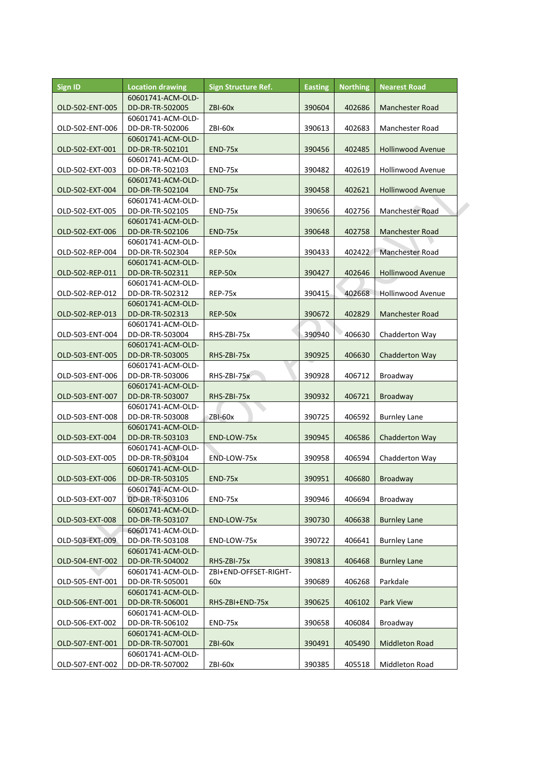| <b>Sign ID</b>  | <b>Location drawing</b>              | Sign Structure Ref.   | <b>Easting</b> | <b>Northing</b> | <b>Nearest Road</b>      |
|-----------------|--------------------------------------|-----------------------|----------------|-----------------|--------------------------|
|                 | 60601741-ACM-OLD-                    |                       |                |                 |                          |
| OLD-502-ENT-005 | DD-DR-TR-502005                      | ZBI-60x               | 390604         | 402686          | Manchester Road          |
|                 | 60601741-ACM-OLD-                    |                       |                |                 |                          |
| OLD-502-ENT-006 | DD-DR-TR-502006                      | ZBI-60x               | 390613         | 402683          | Manchester Road          |
|                 | 60601741-ACM-OLD-                    |                       |                |                 |                          |
| OLD-502-EXT-001 | DD-DR-TR-502101                      | END-75x               | 390456         | 402485          | <b>Hollinwood Avenue</b> |
|                 | 60601741-ACM-OLD-                    |                       |                |                 |                          |
| OLD-502-EXT-003 | DD-DR-TR-502103                      | END-75x               | 390482         | 402619          | <b>Hollinwood Avenue</b> |
|                 | 60601741-ACM-OLD-                    |                       |                |                 |                          |
| OLD-502-EXT-004 | DD-DR-TR-502104                      | END-75x               | 390458         | 402621          | <b>Hollinwood Avenue</b> |
|                 | 60601741-ACM-OLD-                    |                       |                |                 |                          |
| OLD-502-EXT-005 | DD-DR-TR-502105                      | <b>END-75x</b>        | 390656         | 402756          | Manchester Road          |
|                 | 60601741-ACM-OLD-                    |                       |                |                 |                          |
| OLD-502-EXT-006 | DD-DR-TR-502106                      | END-75x               | 390648         | 402758          | Manchester Road          |
| OLD-502-REP-004 | 60601741-ACM-OLD-<br>DD-DR-TR-502304 | REP-50x               | 390433         | 402422          | Manchester Road          |
|                 | 60601741-ACM-OLD-                    |                       |                |                 |                          |
| OLD-502-REP-011 | DD-DR-TR-502311                      | REP-50x               | 390427         | 402646          | <b>Hollinwood Avenue</b> |
|                 | 60601741-ACM-OLD-                    |                       |                |                 |                          |
| OLD-502-REP-012 | DD-DR-TR-502312                      | REP-75x               | 390415         | 402668          | <b>Hollinwood Avenue</b> |
|                 | 60601741-ACM-OLD-                    |                       |                |                 |                          |
| OLD-502-REP-013 | DD-DR-TR-502313                      | REP-50x               | 390672         | 402829          | Manchester Road          |
|                 | 60601741-ACM-OLD-                    |                       |                |                 |                          |
| OLD-503-ENT-004 | DD-DR-TR-503004                      | RHS-ZBI-75x           | 390940         | 406630          | Chadderton Way           |
|                 | 60601741-ACM-OLD-                    |                       |                |                 |                          |
| OLD-503-ENT-005 | DD-DR-TR-503005                      | RHS-ZBI-75x           | 390925         | 406630          | Chadderton Way           |
|                 | 60601741-ACM-OLD-                    |                       |                |                 |                          |
| OLD-503-ENT-006 | DD-DR-TR-503006                      | RHS-ZBI-75x           | 390928         | 406712          | Broadway                 |
|                 | 60601741-ACM-OLD-                    |                       |                |                 |                          |
| OLD-503-ENT-007 | DD-DR-TR-503007                      | RHS-ZBI-75x           | 390932         | 406721          | <b>Broadway</b>          |
|                 | 60601741-ACM-OLD-                    |                       |                |                 |                          |
| OLD-503-ENT-008 | DD-DR-TR-503008                      | ZBI-60x               | 390725         | 406592          | <b>Burnley Lane</b>      |
|                 | 60601741-ACM-OLD-                    |                       |                |                 |                          |
| OLD-503-EXT-004 | DD-DR-TR-503103                      | END-LOW-75x           | 390945         | 406586          | Chadderton Way           |
|                 | 60601741-ACM-OLD-                    |                       |                |                 |                          |
| OLD-503-EXT-005 | DD-DR-TR-503104                      | END-LOW-75x           | 390958         | 406594          | Chadderton Way           |
|                 | 60601741-ACM-OLD-                    |                       |                |                 |                          |
| OLD-503-EXT-006 | DD-DR-TR-503105                      | END-75x               | 390951         | 406680          | Broadway                 |
|                 | 60601741-ACM-OLD-                    |                       |                |                 |                          |
| OLD-503-EXT-007 | DD-DR-TR-503106                      | END-75x               | 390946         | 406694          | Broadway                 |
|                 | 60601741-ACM-OLD-                    |                       |                |                 |                          |
| OLD-503-EXT-008 | DD-DR-TR-503107                      | END-LOW-75x           | 390730         | 406638          | <b>Burnley Lane</b>      |
|                 | 60601741-ACM-OLD-                    |                       |                |                 |                          |
| OLD-503-EXT-009 | DD-DR-TR-503108                      | END-LOW-75x           | 390722         | 406641          | <b>Burnley Lane</b>      |
|                 | 60601741-ACM-OLD-                    |                       |                |                 |                          |
| OLD-504-ENT-002 | DD-DR-TR-504002                      | RHS-ZBI-75x           | 390813         | 406468          | <b>Burnley Lane</b>      |
|                 | 60601741-ACM-OLD-                    | ZBI+END-OFFSET-RIGHT- |                |                 |                          |
| OLD-505-ENT-001 | DD-DR-TR-505001                      | 60x                   | 390689         | 406268          | Parkdale                 |
|                 | 60601741-ACM-OLD-                    |                       |                |                 |                          |
| OLD-506-ENT-001 | DD-DR-TR-506001                      | RHS-ZBI+END-75x       | 390625         | 406102          | Park View                |
|                 | 60601741-ACM-OLD-                    |                       |                |                 |                          |
| OLD-506-EXT-002 | DD-DR-TR-506102                      | END-75x               | 390658         | 406084          | Broadway                 |
|                 | 60601741-ACM-OLD-                    |                       |                |                 |                          |
| OLD-507-ENT-001 | DD-DR-TR-507001                      | ZBI-60x               | 390491         | 405490          | <b>Middleton Road</b>    |
|                 | 60601741-ACM-OLD-                    |                       |                |                 |                          |
| OLD-507-ENT-002 | DD-DR-TR-507002                      | ZBI-60x               | 390385         | 405518          | Middleton Road           |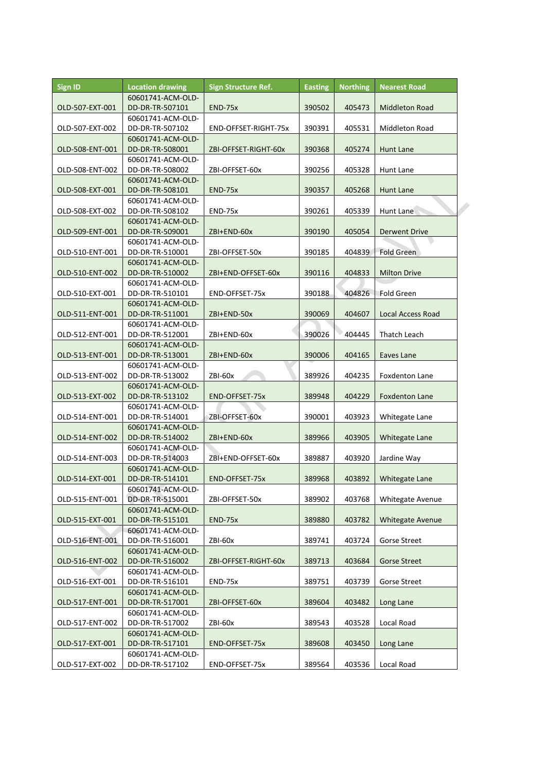| <b>Sign ID</b>  | <b>Location drawing</b> | Sign Structure Ref.  | <b>Easting</b> | <b>Northing</b> | <b>Nearest Road</b>      |  |
|-----------------|-------------------------|----------------------|----------------|-----------------|--------------------------|--|
|                 | 60601741-ACM-OLD-       |                      |                |                 |                          |  |
| OLD-507-EXT-001 | DD-DR-TR-507101         | END-75x              | 390502         | 405473          | <b>Middleton Road</b>    |  |
|                 | 60601741-ACM-OLD-       |                      |                |                 |                          |  |
| OLD-507-EXT-002 | DD-DR-TR-507102         | END-OFFSET-RIGHT-75x | 390391         | 405531          | Middleton Road           |  |
|                 | 60601741-ACM-OLD-       |                      |                |                 |                          |  |
| OLD-508-ENT-001 | DD-DR-TR-508001         | ZBI-OFFSET-RIGHT-60x | 390368         | 405274          | Hunt Lane                |  |
|                 | 60601741-ACM-OLD-       |                      |                |                 |                          |  |
| OLD-508-ENT-002 | DD-DR-TR-508002         | ZBI-OFFSET-60x       | 390256         | 405328          | Hunt Lane                |  |
|                 | 60601741-ACM-OLD-       |                      |                |                 |                          |  |
| OLD-508-EXT-001 | DD-DR-TR-508101         | END-75x              | 390357         | 405268          | Hunt Lane                |  |
|                 | 60601741-ACM-OLD-       |                      |                |                 |                          |  |
| OLD-508-EXT-002 | DD-DR-TR-508102         | <b>END-75x</b>       | 390261         | 405339          | Hunt Lane                |  |
|                 | 60601741-ACM-OLD-       |                      |                |                 |                          |  |
| OLD-509-ENT-001 | DD-DR-TR-509001         | ZBI+END-60x          | 390190         | 405054          | Derwent Drive            |  |
|                 | 60601741-ACM-OLD-       |                      |                |                 |                          |  |
| OLD-510-ENT-001 | DD-DR-TR-510001         | ZBI-OFFSET-50x       | 390185         | 404839          | <b>Fold Green</b>        |  |
|                 | 60601741-ACM-OLD-       |                      |                |                 |                          |  |
| OLD-510-ENT-002 | DD-DR-TR-510002         | ZBI+END-OFFSET-60x   | 390116         | 404833          | <b>Milton Drive</b>      |  |
|                 | 60601741-ACM-OLD-       |                      |                |                 |                          |  |
| OLD-510-EXT-001 | DD-DR-TR-510101         | END-OFFSET-75x       | 390188         | 404826          | Fold Green               |  |
|                 | 60601741-ACM-OLD-       |                      |                |                 |                          |  |
| OLD-511-ENT-001 | DD-DR-TR-511001         | ZBI+END-50x          | 390069         | 404607          | <b>Local Access Road</b> |  |
|                 | 60601741-ACM-OLD-       |                      |                |                 |                          |  |
| OLD-512-ENT-001 | DD-DR-TR-512001         | ZBI+END-60x          | 390026         | 404445          | Thatch Leach             |  |
|                 | 60601741-ACM-OLD-       |                      |                |                 |                          |  |
| OLD-513-ENT-001 | DD-DR-TR-513001         | ZBI+END-60x          | 390006         | 404165          | Eaves Lane               |  |
|                 |                         |                      |                |                 |                          |  |
|                 | 60601741-ACM-OLD-       |                      |                |                 |                          |  |
| OLD-513-ENT-002 | DD-DR-TR-513002         | ZBI-60x              | 389926         | 404235          | Foxdenton Lane           |  |
|                 | 60601741-ACM-OLD-       |                      |                |                 |                          |  |
| OLD-513-EXT-002 | DD-DR-TR-513102         | END-OFFSET-75x       | 389948         | 404229          | <b>Foxdenton Lane</b>    |  |
|                 | 60601741-ACM-OLD-       |                      |                |                 |                          |  |
| OLD-514-ENT-001 | DD-DR-TR-514001         | ZBI-OFFSET-60x       | 390001         | 403923          | Whitegate Lane           |  |
|                 | 60601741-ACM-OLD-       |                      |                |                 |                          |  |
| OLD-514-ENT-002 | DD-DR-TR-514002         | ZBI+END-60x          | 389966         | 403905          | Whitegate Lane           |  |
|                 | 60601741-ACM-OLD-       |                      |                |                 |                          |  |
| OLD-514-ENT-003 | DD-DR-TR-514003         | ZBI+END-OFFSET-60x   | 389887         | 403920          | Jardine Way              |  |
|                 | 60601741-ACM-OLD-       |                      |                |                 |                          |  |
| OLD-514-EXT-001 | DD-DR-TR-514101         | END-OFFSET-75x       | 389968         | 403892          | Whitegate Lane           |  |
|                 | 60601741-ACM-OLD-       |                      |                |                 |                          |  |
| OLD-515-ENT-001 | DD-DR-TR-515001         | ZBI-OFFSET-50x       | 389902         | 403768          | <b>Whitegate Avenue</b>  |  |
|                 | 60601741-ACM-OLD-       |                      |                |                 |                          |  |
| OLD-515-EXT-001 | DD-DR-TR-515101         | END-75x              | 389880         | 403782          | <b>Whitegate Avenue</b>  |  |
|                 | 60601741-ACM-OLD-       |                      |                |                 |                          |  |
| OLD-516-ENT-001 | DD-DR-TR-516001         | ZBI-60x              | 389741         | 403724          | <b>Gorse Street</b>      |  |
|                 | 60601741-ACM-OLD-       |                      |                |                 |                          |  |
| OLD-516-ENT-002 | DD-DR-TR-516002         | ZBI-OFFSET-RIGHT-60x | 389713         | 403684          | <b>Gorse Street</b>      |  |
|                 | 60601741-ACM-OLD-       |                      |                |                 |                          |  |
| OLD-516-EXT-001 | DD-DR-TR-516101         | END-75x              | 389751         | 403739          | Gorse Street             |  |
|                 | 60601741-ACM-OLD-       |                      |                |                 |                          |  |
| OLD-517-ENT-001 | DD-DR-TR-517001         | ZBI-OFFSET-60x       | 389604         | 403482          | Long Lane                |  |
|                 | 60601741-ACM-OLD-       |                      |                |                 |                          |  |
| OLD-517-ENT-002 | DD-DR-TR-517002         | ZBI-60x              | 389543         | 403528          | Local Road               |  |
|                 | 60601741-ACM-OLD-       |                      |                |                 |                          |  |
| OLD-517-EXT-001 | DD-DR-TR-517101         | END-OFFSET-75x       | 389608         | 403450          | Long Lane                |  |
|                 | 60601741-ACM-OLD-       |                      |                |                 |                          |  |
| OLD-517-EXT-002 | DD-DR-TR-517102         | END-OFFSET-75x       | 389564         | 403536          | Local Road               |  |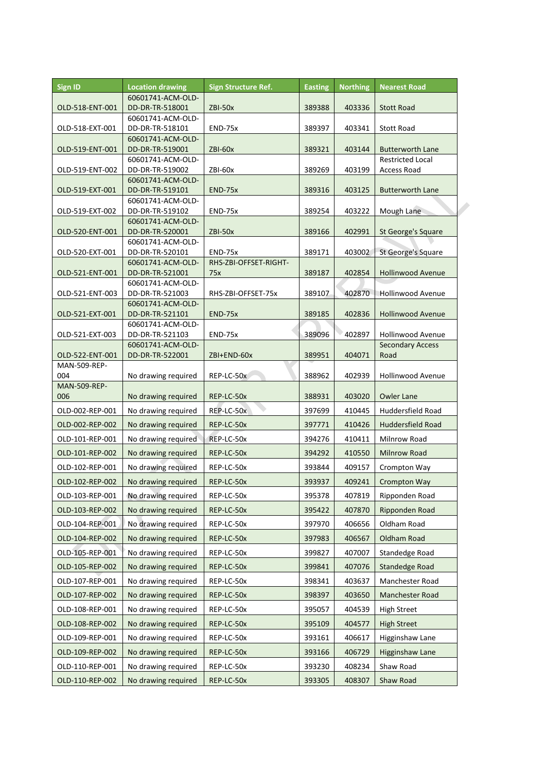| <b>Sign ID</b>      | <b>Location drawing</b>              | <b>Sign Structure Ref.</b> | <b>Easting</b> | <b>Northing</b> | <b>Nearest Road</b>      |
|---------------------|--------------------------------------|----------------------------|----------------|-----------------|--------------------------|
|                     | 60601741-ACM-OLD-                    |                            |                |                 |                          |
| OLD-518-ENT-001     | DD-DR-TR-518001                      | ZBI-50x                    | 389388         | 403336          | <b>Stott Road</b>        |
|                     | 60601741-ACM-OLD-                    |                            |                |                 |                          |
| OLD-518-EXT-001     | DD-DR-TR-518101                      | END-75x                    | 389397         | 403341          | <b>Stott Road</b>        |
| OLD-519-ENT-001     | 60601741-ACM-OLD-<br>DD-DR-TR-519001 | <b>ZBI-60x</b>             | 389321         | 403144          | <b>Butterworth Lane</b>  |
|                     | 60601741-ACM-OLD-                    |                            |                |                 | <b>Restricted Local</b>  |
| OLD-519-ENT-002     | DD-DR-TR-519002                      | ZBI-60x                    | 389269         | 403199          | <b>Access Road</b>       |
|                     | 60601741-ACM-OLD-                    |                            |                |                 |                          |
| OLD-519-EXT-001     | DD-DR-TR-519101                      | <b>END-75x</b>             | 389316         | 403125          | <b>Butterworth Lane</b>  |
|                     | 60601741-ACM-OLD-                    |                            |                |                 |                          |
| OLD-519-EXT-002     | DD-DR-TR-519102<br>60601741-ACM-OLD- | <b>END-75x</b>             | 389254         | 403222          | Mough Lane               |
| OLD-520-ENT-001     | DD-DR-TR-520001                      | ZBI-50x                    | 389166         | 402991          | St George's Square       |
|                     | 60601741-ACM-OLD-                    |                            |                |                 |                          |
| OLD-520-EXT-001     | DD-DR-TR-520101                      | END-75x                    | 389171         | 403002          | St George's Square       |
|                     | 60601741-ACM-OLD-                    | RHS-ZBI-OFFSET-RIGHT-      |                |                 |                          |
| OLD-521-ENT-001     | DD-DR-TR-521001                      | 75x                        | 389187         | 402854          | Hollinwood Avenue        |
|                     | 60601741-ACM-OLD-                    |                            |                |                 |                          |
| OLD-521-ENT-003     | DD-DR-TR-521003<br>60601741-ACM-OLD- | RHS-ZBI-OFFSET-75x         | 389107         | 402870          | <b>Hollinwood Avenue</b> |
| OLD-521-EXT-001     | DD-DR-TR-521101                      | <b>END-75x</b>             | 389185         | 402836          | <b>Hollinwood Avenue</b> |
|                     | 60601741-ACM-OLD-                    |                            |                |                 |                          |
| OLD-521-EXT-003     | DD-DR-TR-521103                      | END-75x                    | 389096         | 402897          | <b>Hollinwood Avenue</b> |
|                     | 60601741-ACM-OLD-                    |                            |                |                 | <b>Secondary Access</b>  |
| OLD-522-ENT-001     | DD-DR-TR-522001                      | ZBI+END-60x                | 389951         | 404071          | Road                     |
| MAN-509-REP-<br>004 |                                      |                            |                |                 | <b>Hollinwood Avenue</b> |
| MAN-509-REP-        | No drawing required                  | REP-LC-50x                 | 388962         | 402939          |                          |
| 006                 | No drawing required                  | REP-LC-50x                 | 388931         | 403020          | <b>Owler Lane</b>        |
| OLD-002-REP-001     | No drawing required                  | REP-LC-50x                 | 397699         | 410445          | Huddersfield Road        |
| OLD-002-REP-002     | No drawing required                  | REP-LC-50x                 | 397771         | 410426          | <b>Huddersfield Road</b> |
| OLD-101-REP-001     | No drawing required                  | REP-LC-50x                 | 394276         | 410411          | Milnrow Road             |
|                     |                                      |                            |                |                 |                          |
| OLD-101-REP-002     | No drawing required                  | REP-LC-50x                 | 394292         | 410550          | <b>Milnrow Road</b>      |
| OLD-102-REP-001     | No drawing required                  | REP-LC-50x                 | 393844         | 409157          | Crompton Way             |
| OLD-102-REP-002     | No drawing required                  | REP-LC-50x                 | 393937         | 409241          | <b>Crompton Way</b>      |
| OLD-103-REP-001     | No drawing required                  | REP-LC-50x                 | 395378         | 407819          | Ripponden Road           |
| OLD-103-REP-002     | No drawing required                  | REP-LC-50x                 | 395422         | 407870          | Ripponden Road           |
| OLD-104-REP-001     | No drawing required                  | REP-LC-50x                 | 397970         | 406656          | Oldham Road              |
| OLD-104-REP-002     | No drawing required                  | REP-LC-50x                 | 397983         | 406567          | Oldham Road              |
| OLD-105-REP-001     | No drawing required                  | REP-LC-50x                 | 399827         | 407007          | Standedge Road           |
| OLD-105-REP-002     | No drawing required                  | REP-LC-50x                 | 399841         | 407076          | Standedge Road           |
| OLD-107-REP-001     | No drawing required                  | REP-LC-50x                 | 398341         | 403637          | Manchester Road          |
| OLD-107-REP-002     | No drawing required                  | REP-LC-50x                 | 398397         | 403650          | Manchester Road          |
| OLD-108-REP-001     | No drawing required                  | REP-LC-50x                 | 395057         | 404539          | <b>High Street</b>       |
| OLD-108-REP-002     | No drawing required                  | REP-LC-50x                 | 395109         | 404577          | <b>High Street</b>       |
| OLD-109-REP-001     | No drawing required                  | REP-LC-50x                 | 393161         | 406617          | Higginshaw Lane          |
| OLD-109-REP-002     | No drawing required                  | REP-LC-50x                 | 393166         | 406729          | Higginshaw Lane          |
| OLD-110-REP-001     | No drawing required                  | REP-LC-50x                 | 393230         | 408234          | Shaw Road                |
|                     |                                      |                            |                |                 |                          |
| OLD-110-REP-002     | No drawing required                  | REP-LC-50x                 | 393305         | 408307          | Shaw Road                |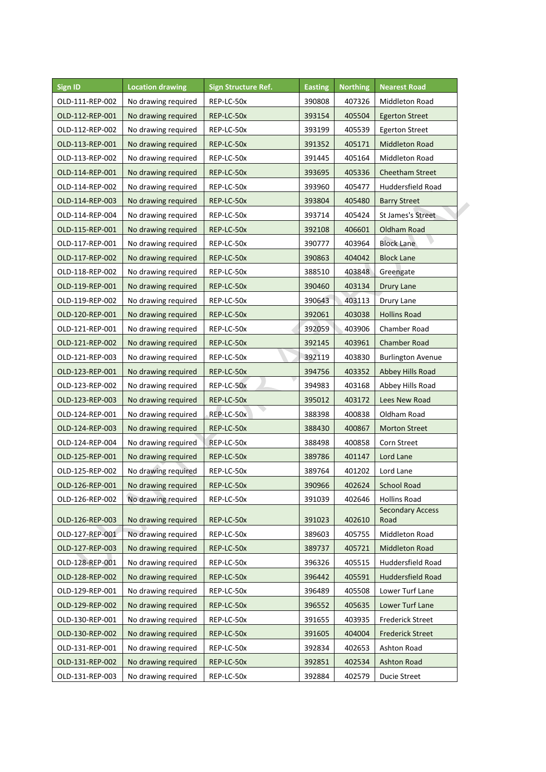| <b>Sign ID</b>  | <b>Location drawing</b> | <b>Sign Structure Ref.</b> | <b>Easting</b> | <b>Northing</b> | <b>Nearest Road</b>      |
|-----------------|-------------------------|----------------------------|----------------|-----------------|--------------------------|
| OLD-111-REP-002 | No drawing required     | REP-LC-50x                 | 390808         | 407326          | Middleton Road           |
| OLD-112-REP-001 | No drawing required     | REP-LC-50x                 | 393154         | 405504          | <b>Egerton Street</b>    |
| OLD-112-REP-002 | No drawing required     | REP-LC-50x                 | 393199         | 405539          | <b>Egerton Street</b>    |
| OLD-113-REP-001 | No drawing required     | REP-LC-50x                 | 391352         | 405171          | <b>Middleton Road</b>    |
| OLD-113-REP-002 | No drawing required     | REP-LC-50x                 | 391445         | 405164          | Middleton Road           |
| OLD-114-REP-001 | No drawing required     | REP-LC-50x                 | 393695         | 405336          | Cheetham Street          |
| OLD-114-REP-002 | No drawing required     | REP-LC-50x                 | 393960         | 405477          | Huddersfield Road        |
| OLD-114-REP-003 | No drawing required     | REP-LC-50x                 | 393804         | 405480          | <b>Barry Street</b>      |
| OLD-114-REP-004 | No drawing required     | REP-LC-50x                 | 393714         | 405424          | St James's Street        |
| OLD-115-REP-001 | No drawing required     | REP-LC-50x                 | 392108         | 406601          | Oldham Road              |
| OLD-117-REP-001 | No drawing required     | REP-LC-50x                 | 390777         | 403964          | <b>Block Lane</b>        |
| OLD-117-REP-002 | No drawing required     | REP-LC-50x                 | 390863         | 404042          | <b>Block Lane</b>        |
| OLD-118-REP-002 | No drawing required     | REP-LC-50x                 | 388510         | 403848          | Greengate                |
| OLD-119-REP-001 | No drawing required     | REP-LC-50x                 | 390460         | 403134          | Drury Lane               |
| OLD-119-REP-002 | No drawing required     | REP-LC-50x                 | 390643         | 403113          | Drury Lane               |
| OLD-120-REP-001 | No drawing required     | REP-LC-50x                 | 392061         | 403038          | <b>Hollins Road</b>      |
| OLD-121-REP-001 | No drawing required     | REP-LC-50x                 | 392059         | 403906          | Chamber Road             |
| OLD-121-REP-002 | No drawing required     | REP-LC-50x                 | 392145         | 403961          | <b>Chamber Road</b>      |
| OLD-121-REP-003 | No drawing required     | REP-LC-50x                 | 392119         | 403830          | <b>Burlington Avenue</b> |
| OLD-123-REP-001 | No drawing required     | REP-LC-50x                 | 394756         | 403352          | Abbey Hills Road         |
| OLD-123-REP-002 | No drawing required     | REP-LC-50x                 | 394983         | 403168          | Abbey Hills Road         |
| OLD-123-REP-003 | No drawing required     | REP-LC-50x                 | 395012         | 403172          | Lees New Road            |
| OLD-124-REP-001 | No drawing required     | REP-LC-50x                 | 388398         | 400838          | Oldham Road              |
| OLD-124-REP-003 | No drawing required     | REP-LC-50x                 | 388430         | 400867          | <b>Morton Street</b>     |
| OLD-124-REP-004 | No drawing required     | REP-LC-50x                 | 388498         | 400858          | Corn Street              |
| OLD-125-REP-001 | No drawing required     | REP-LC-50x                 | 389786         | 401147          | Lord Lane                |
| OLD-125-REP-002 | No drawing required     | REP-LC-50x                 | 389764         | 401202          | Lord Lane                |
| OLD-126-REP-001 | No drawing required     | REP-LC-50x                 | 390966         | 402624          | <b>School Road</b>       |
| OLD-126-REP-002 | No drawing required     | REP-LC-50x                 | 391039         | 402646          | <b>Hollins Road</b>      |
|                 |                         |                            |                |                 | <b>Secondary Access</b>  |
| OLD-126-REP-003 | No drawing required     | REP-LC-50x                 | 391023         | 402610          | Road                     |
| OLD-127-REP-001 | No drawing required     | REP-LC-50x                 | 389603         | 405755          | Middleton Road           |
| OLD-127-REP-003 | No drawing required     | REP-LC-50x                 | 389737         | 405721          | <b>Middleton Road</b>    |
| OLD-128-REP-001 | No drawing required     | REP-LC-50x                 | 396326         | 405515          | Huddersfield Road        |
| OLD-128-REP-002 | No drawing required     | REP-LC-50x                 | 396442         | 405591          | Huddersfield Road        |
| OLD-129-REP-001 | No drawing required     | REP-LC-50x                 | 396489         | 405508          | Lower Turf Lane          |
| OLD-129-REP-002 | No drawing required     | REP-LC-50x                 | 396552         | 405635          | Lower Turf Lane          |
| OLD-130-REP-001 | No drawing required     | REP-LC-50x                 | 391655         | 403935          | <b>Frederick Street</b>  |
| OLD-130-REP-002 | No drawing required     | REP-LC-50x                 | 391605         | 404004          | <b>Frederick Street</b>  |
| OLD-131-REP-001 | No drawing required     | REP-LC-50x                 | 392834         | 402653          | Ashton Road              |
| OLD-131-REP-002 | No drawing required     | REP-LC-50x                 | 392851         | 402534          | Ashton Road              |
| OLD-131-REP-003 | No drawing required     | REP-LC-50x                 | 392884         | 402579          | Ducie Street             |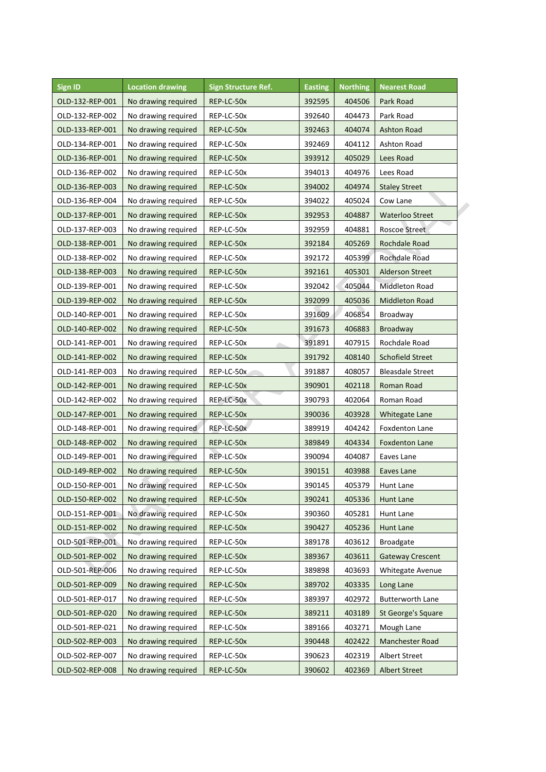| <b>Sign ID</b>  | <b>Location drawing</b> | <b>Sign Structure Ref.</b> | <b>Easting</b> | <b>Northing</b> | <b>Nearest Road</b>     |
|-----------------|-------------------------|----------------------------|----------------|-----------------|-------------------------|
| OLD-132-REP-001 | No drawing required     | REP-LC-50x                 | 392595         | 404506          | Park Road               |
| OLD-132-REP-002 | No drawing required     | REP-LC-50x                 | 392640         | 404473          | Park Road               |
| OLD-133-REP-001 | No drawing required     | REP-LC-50x                 | 392463         | 404074          | <b>Ashton Road</b>      |
| OLD-134-REP-001 | No drawing required     | REP-LC-50x                 | 392469         | 404112          | Ashton Road             |
| OLD-136-REP-001 | No drawing required     | REP-LC-50x                 | 393912         | 405029          | Lees Road               |
| OLD-136-REP-002 | No drawing required     | REP-LC-50x                 | 394013         | 404976          | Lees Road               |
| OLD-136-REP-003 | No drawing required     | REP-LC-50x                 | 394002         | 404974          | <b>Staley Street</b>    |
| OLD-136-REP-004 | No drawing required     | REP-LC-50x                 | 394022         | 405024          | Cow Lane                |
| OLD-137-REP-001 | No drawing required     | REP-LC-50x                 | 392953         | 404887          | <b>Waterloo Street</b>  |
| OLD-137-REP-003 | No drawing required     | REP-LC-50x                 | 392959         | 404881          | <b>Roscoe Street</b>    |
| OLD-138-REP-001 | No drawing required     | REP-LC-50x                 | 392184         | 405269          | Rochdale Road           |
| OLD-138-REP-002 | No drawing required     | REP-LC-50x                 | 392172         | 405399          | Rochdale Road           |
| OLD-138-REP-003 | No drawing required     | REP-LC-50x                 | 392161         | 405301          | <b>Alderson Street</b>  |
| OLD-139-REP-001 | No drawing required     | REP-LC-50x                 | 392042         | 405044          | Middleton Road          |
| OLD-139-REP-002 | No drawing required     | REP-LC-50x                 | 392099         | 405036          | <b>Middleton Road</b>   |
| OLD-140-REP-001 | No drawing required     | REP-LC-50x                 | 391609         | 406854          | Broadway                |
| OLD-140-REP-002 | No drawing required     | REP-LC-50x                 | 391673         | 406883          | Broadway                |
| OLD-141-REP-001 | No drawing required     | REP-LC-50x                 | 391891         | 407915          | Rochdale Road           |
| OLD-141-REP-002 | No drawing required     | REP-LC-50x                 | 391792         | 408140          | <b>Schofield Street</b> |
| OLD-141-REP-003 | No drawing required     | REP-LC-50x                 | 391887         | 408057          | <b>Bleasdale Street</b> |
| OLD-142-REP-001 | No drawing required     | REP-LC-50x                 | 390901         | 402118          | Roman Road              |
| OLD-142-REP-002 | No drawing required     | REP-LC-50x                 | 390793         | 402064          | Roman Road              |
| OLD-147-REP-001 | No drawing required     | REP-LC-50x                 | 390036         | 403928          | Whitegate Lane          |
| OLD-148-REP-001 | No drawing required     | REP-LC-50x                 | 389919         | 404242          | Foxdenton Lane          |
| OLD-148-REP-002 | No drawing required     | REP-LC-50x                 | 389849         | 404334          | <b>Foxdenton Lane</b>   |
| OLD-149-REP-001 | No drawing required     | REP-LC-50x                 | 390094         | 404087          | Eaves Lane              |
| OLD-149-REP-002 | No drawing required     | REP-LC-50x                 | 390151         | 403988          | Eaves Lane              |
| OLD-150-REP-001 | No drawing required     | REP-LC-50x                 | 390145         | 405379          | Hunt Lane               |
| OLD-150-REP-002 | No drawing required     | REP-LC-50x                 | 390241         | 405336          | Hunt Lane               |
| OLD-151-REP-001 | No drawing required     | REP-LC-50x                 | 390360         | 405281          | Hunt Lane               |
| OLD-151-REP-002 | No drawing required     | REP-LC-50x                 | 390427         | 405236          | Hunt Lane               |
| OLD-501-REP-001 | No drawing required     | REP-LC-50x                 | 389178         | 403612          | <b>Broadgate</b>        |
| OLD-501-REP-002 | No drawing required     | REP-LC-50x                 | 389367         | 403611          | <b>Gateway Crescent</b> |
| OLD-501-REP-006 | No drawing required     | REP-LC-50x                 | 389898         | 403693          | Whitegate Avenue        |
| OLD-501-REP-009 | No drawing required     | REP-LC-50x                 | 389702         | 403335          | Long Lane               |
| OLD-501-REP-017 | No drawing required     | REP-LC-50x                 | 389397         | 402972          | <b>Butterworth Lane</b> |
| OLD-501-REP-020 | No drawing required     | REP-LC-50x                 | 389211         | 403189          | St George's Square      |
| OLD-501-REP-021 | No drawing required     | REP-LC-50x                 | 389166         | 403271          | Mough Lane              |
| OLD-502-REP-003 | No drawing required     | REP-LC-50x                 | 390448         | 402422          | Manchester Road         |
| OLD-502-REP-007 | No drawing required     | REP-LC-50x                 | 390623         | 402319          | Albert Street           |
| OLD-502-REP-008 | No drawing required     | REP-LC-50x                 | 390602         | 402369          | <b>Albert Street</b>    |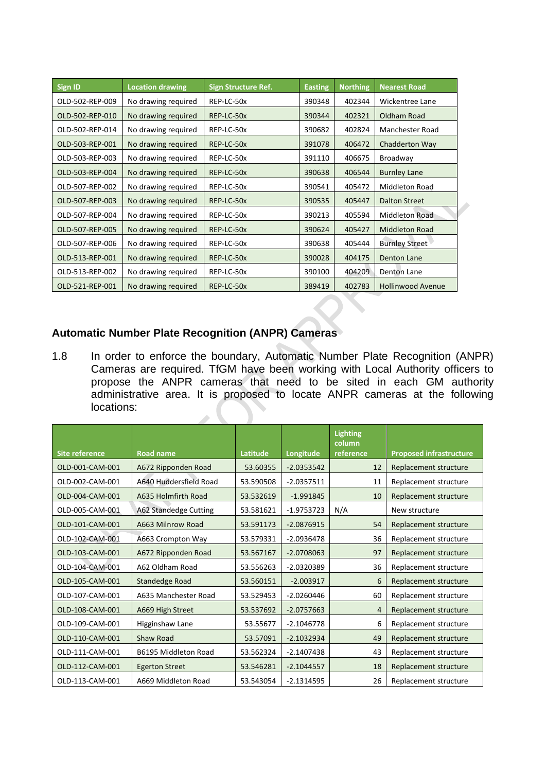| <b>Sign ID</b>  | <b>Location drawing</b> | <b>Sign Structure Ref.</b> | <b>Easting</b> | <b>Northing</b> | <b>Nearest Road</b>      |
|-----------------|-------------------------|----------------------------|----------------|-----------------|--------------------------|
| OLD-502-REP-009 | No drawing required     | REP-LC-50x                 | 390348         | 402344          | Wickentree Lane          |
| OLD-502-REP-010 | No drawing required     | REP-LC-50x                 | 390344         | 402321          | Oldham Road              |
| OLD-502-REP-014 | No drawing required     | REP-LC-50x                 | 390682         | 402824          | Manchester Road          |
| OLD-503-REP-001 | No drawing required     | REP-LC-50x                 | 391078         | 406472          | Chadderton Way           |
| OLD-503-REP-003 | No drawing required     | REP-LC-50x                 | 391110         | 406675          | Broadway                 |
| OLD-503-REP-004 | No drawing required     | REP-LC-50x                 | 390638         | 406544          | <b>Burnley Lane</b>      |
| OLD-507-REP-002 | No drawing required     | REP-LC-50x                 | 390541         | 405472          | Middleton Road           |
| OLD-507-REP-003 | No drawing required     | REP-LC-50x                 | 390535         | 405447          | <b>Dalton Street</b>     |
| OLD-507-REP-004 | No drawing required     | REP-LC-50x                 | 390213         | 405594          | <b>Middleton Road</b>    |
| OLD-507-REP-005 | No drawing required     | REP-LC-50x                 | 390624         | 405427          | <b>Middleton Road</b>    |
| OLD-507-REP-006 | No drawing required     | REP-LC-50x                 | 390638         | 405444          | <b>Burnley Street</b>    |
| OLD-513-REP-001 | No drawing required     | REP-LC-50x                 | 390028         | 404175          | <b>Denton Lane</b>       |
| OLD-513-REP-002 | No drawing required     | REP-LC-50x                 | 390100         | 404209          | Denton Lane              |
| OLD-521-REP-001 | No drawing required     | REP-LC-50x                 | 389419         | 402783          | <b>Hollinwood Avenue</b> |

## **Automatic Number Plate Recognition (ANPR) Cameras**

1.8 In order to enforce the boundary, Automatic Number Plate Recognition (ANPR) Cameras are required. TfGM have been working with Local Authority officers to propose the ANPR cameras that need to be sited in each GM authority administrative area. It is proposed to locate ANPR cameras at the following locations:

|                       |                        |           |              | <b>Lighting</b><br>column |                                |
|-----------------------|------------------------|-----------|--------------|---------------------------|--------------------------------|
| <b>Site reference</b> | <b>Road name</b>       | Latitude  | Longitude    | reference                 | <b>Proposed infrastructure</b> |
| OLD-001-CAM-001       | A672 Ripponden Road    | 53.60355  | $-2.0353542$ | 12                        | Replacement structure          |
| OLD-002-CAM-001       | A640 Huddersfield Road | 53.590508 | $-2.0357511$ | 11                        | Replacement structure          |
| OLD-004-CAM-001       | A635 Holmfirth Road    | 53.532619 | $-1.991845$  | 10                        | Replacement structure          |
| OLD-005-CAM-001       | A62 Standedge Cutting  | 53.581621 | $-1.9753723$ | N/A                       | New structure                  |
| OLD-101-CAM-001       | A663 Milnrow Road      | 53.591173 | $-2.0876915$ | 54                        | Replacement structure          |
| OLD-102-CAM-001       | A663 Crompton Way      | 53.579331 | $-2.0936478$ | 36                        | Replacement structure          |
| OLD-103-CAM-001       | A672 Ripponden Road    | 53.567167 | $-2.0708063$ | 97                        | Replacement structure          |
| OLD-104-CAM-001       | A62 Oldham Road        | 53.556263 | $-2.0320389$ | 36                        | Replacement structure          |
| OLD-105-CAM-001       | <b>Standedge Road</b>  | 53.560151 | $-2.003917$  | 6                         | Replacement structure          |
| OLD-107-CAM-001       | A635 Manchester Road   | 53.529453 | $-2.0260446$ | 60                        | Replacement structure          |
| OLD-108-CAM-001       | A669 High Street       | 53.537692 | $-2.0757663$ | $\overline{a}$            | Replacement structure          |
| OLD-109-CAM-001       | Higginshaw Lane        | 53.55677  | $-2.1046778$ | 6                         | Replacement structure          |
| OLD-110-CAM-001       | <b>Shaw Road</b>       | 53.57091  | $-2.1032934$ | 49                        | Replacement structure          |
| OLD-111-CAM-001       | B6195 Middleton Road   | 53.562324 | $-2.1407438$ | 43                        | Replacement structure          |
| OLD-112-CAM-001       | <b>Egerton Street</b>  | 53.546281 | $-2.1044557$ | 18                        | Replacement structure          |
| OLD-113-CAM-001       | A669 Middleton Road    | 53.543054 | $-2.1314595$ | 26                        | Replacement structure          |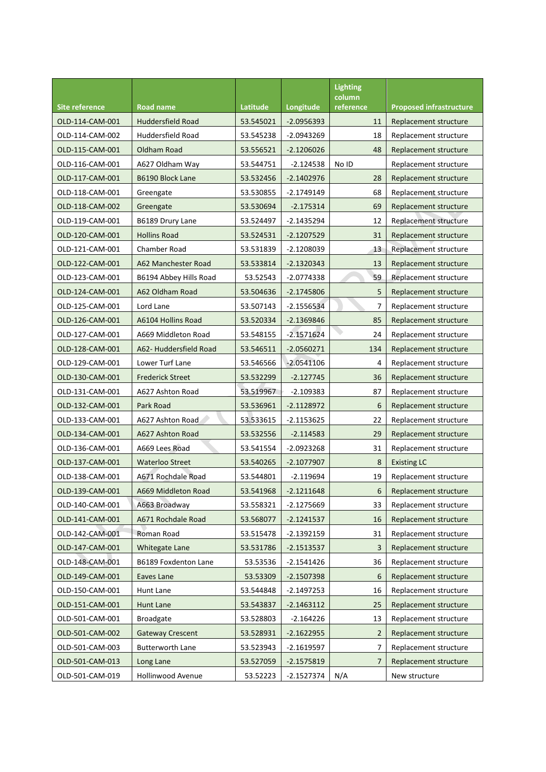|                       |                          |           |              | <b>Lighting</b><br>column |                                |
|-----------------------|--------------------------|-----------|--------------|---------------------------|--------------------------------|
| <b>Site reference</b> | <b>Road name</b>         | Latitude  | Longitude    | reference                 | <b>Proposed infrastructure</b> |
| OLD-114-CAM-001       | <b>Huddersfield Road</b> | 53.545021 | $-2.0956393$ | 11                        | Replacement structure          |
| OLD-114-CAM-002       | <b>Huddersfield Road</b> | 53.545238 | $-2.0943269$ | 18                        | Replacement structure          |
| OLD-115-CAM-001       | Oldham Road              | 53.556521 | $-2.1206026$ | 48                        | Replacement structure          |
| OLD-116-CAM-001       | A627 Oldham Way          | 53.544751 | $-2.124538$  | No ID                     | Replacement structure          |
| OLD-117-CAM-001       | B6190 Block Lane         | 53.532456 | $-2.1402976$ | 28                        | Replacement structure          |
| OLD-118-CAM-001       | Greengate                | 53.530855 | $-2.1749149$ | 68                        | Replacement structure          |
| OLD-118-CAM-002       | Greengate                | 53.530694 | $-2.175314$  | 69                        | Replacement structure          |
| OLD-119-CAM-001       | B6189 Drury Lane         | 53.524497 | $-2.1435294$ | 12                        | Replacement structure          |
| OLD-120-CAM-001       | <b>Hollins Road</b>      | 53.524531 | $-2.1207529$ | 31                        | Replacement structure          |
| OLD-121-CAM-001       | Chamber Road             | 53.531839 | $-2.1208039$ | 13                        | Replacement structure          |
| OLD-122-CAM-001       | A62 Manchester Road      | 53.533814 | $-2.1320343$ | 13                        | Replacement structure          |
| OLD-123-CAM-001       | B6194 Abbey Hills Road   | 53.52543  | $-2.0774338$ | 59                        | Replacement structure          |
| OLD-124-CAM-001       | A62 Oldham Road          | 53.504636 | $-2.1745806$ | 5                         | Replacement structure          |
| OLD-125-CAM-001       | Lord Lane                | 53.507143 | $-2.1556534$ | 7                         | Replacement structure          |
| OLD-126-CAM-001       | A6104 Hollins Road       | 53.520334 | $-2.1369846$ | 85                        | Replacement structure          |
| OLD-127-CAM-001       | A669 Middleton Road      | 53.548155 | $-2.1571624$ | 24                        | Replacement structure          |
| OLD-128-CAM-001       | A62- Huddersfield Road   | 53.546511 | $-2.0560271$ | 134                       | Replacement structure          |
| OLD-129-CAM-001       | Lower Turf Lane          | 53.546566 | $-2.0541106$ | 4                         | Replacement structure          |
| OLD-130-CAM-001       | <b>Frederick Street</b>  | 53.532299 | $-2.127745$  | 36                        | Replacement structure          |
| OLD-131-CAM-001       | A627 Ashton Road         | 53.519967 | $-2.109383$  | 87                        | Replacement structure          |
| OLD-132-CAM-001       | Park Road                | 53.536961 | $-2.1128972$ | 6                         | Replacement structure          |
| OLD-133-CAM-001       | A627 Ashton Road         | 53.533615 | $-2.1153625$ | 22                        | Replacement structure          |
| OLD-134-CAM-001       | A627 Ashton Road         | 53.532556 | $-2.114583$  | 29                        | Replacement structure          |
| OLD-136-CAM-001       | A669 Lees Road           | 53.541554 | $-2.0923268$ | 31                        | Replacement structure          |
| OLD-137-CAM-001       | <b>Waterloo Street</b>   | 53.540265 | $-2.1077907$ | 8                         | <b>Existing LC</b>             |
| OLD-138-CAM-001       | A671 Rochdale Road       | 53.544801 | $-2.119694$  | 19                        | Replacement structure          |
| OLD-139-CAM-001       | A669 Middleton Road      | 53.541968 | $-2.1211648$ | 6                         | Replacement structure          |
| OLD-140-CAM-001       | A663 Broadway            | 53.558321 | -2.1275669   | 33                        | Replacement structure          |
| OLD-141-CAM-001       | A671 Rochdale Road       | 53.568077 | $-2.1241537$ | 16                        | Replacement structure          |
| OLD-142-CAM-001       | Roman Road               | 53.515478 | $-2.1392159$ | 31                        | Replacement structure          |
| OLD-147-CAM-001       | Whitegate Lane           | 53.531786 | $-2.1513537$ | 3                         | Replacement structure          |
| OLD-148-CAM-001       | B6189 Foxdenton Lane     | 53.53536  | $-2.1541426$ | 36                        | Replacement structure          |
| OLD-149-CAM-001       | Eaves Lane               | 53.53309  | $-2.1507398$ | 6                         | Replacement structure          |
| OLD-150-CAM-001       | Hunt Lane                | 53.544848 | $-2.1497253$ | 16                        | Replacement structure          |
| OLD-151-CAM-001       | Hunt Lane                | 53.543837 | $-2.1463112$ | 25                        | Replacement structure          |
| OLD-501-CAM-001       | <b>Broadgate</b>         | 53.528803 | $-2.164226$  | 13                        | Replacement structure          |
| OLD-501-CAM-002       | <b>Gateway Crescent</b>  | 53.528931 | $-2.1622955$ | 2                         | Replacement structure          |
| OLD-501-CAM-003       | <b>Butterworth Lane</b>  | 53.523943 | $-2.1619597$ | 7                         | Replacement structure          |
| OLD-501-CAM-013       | Long Lane                | 53.527059 | $-2.1575819$ | 7                         | Replacement structure          |
| OLD-501-CAM-019       | <b>Hollinwood Avenue</b> | 53.52223  | $-2.1527374$ | N/A                       | New structure                  |